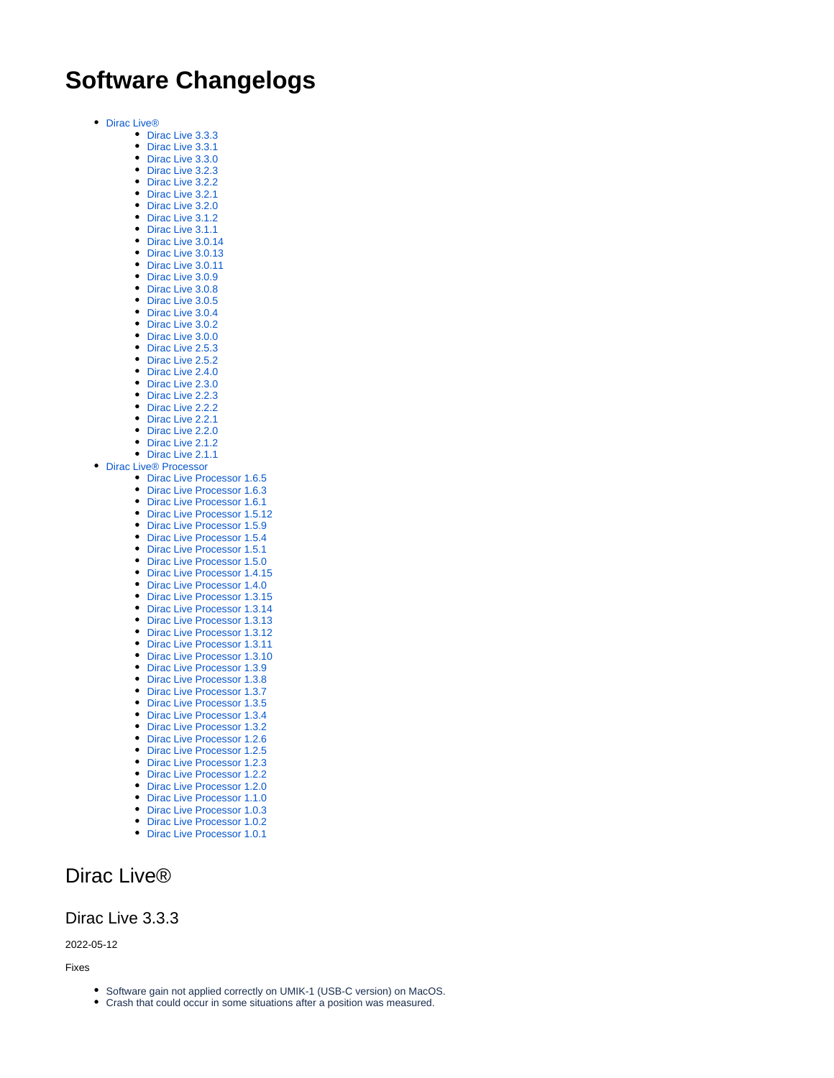# **Software Changelogs**

- [Dirac Live®](#page-0-0)
	- [Dirac Live 3.3.3](#page-0-1)
	- [Dirac Live 3.3.1](#page-1-0) • [Dirac Live 3.3.0](#page-1-1)
	- [Dirac Live 3.2.3](#page-1-2)
	- [Dirac Live 3.2.2](#page-1-3)
	- [Dirac Live 3.2.1](#page-2-0)
	- [Dirac Live 3.2.0](#page-2-1)
	- [Dirac Live 3.1.2](#page-2-2)
	- [Dirac Live 3.1.1](#page-2-3)
	- [Dirac Live 3.0.14](#page-3-0) • [Dirac Live 3.0.13](#page-3-1)
	- [Dirac Live 3.0.11](#page-3-2)
	- [Dirac Live 3.0.9](#page-3-3)
	- [Dirac Live 3.0.8](#page-4-0)
	- [Dirac Live 3.0.5](#page-4-1)
	- [Dirac Live 3.0.4](#page-4-2)
	- [Dirac Live 3.0.2](#page-5-0)
	- [Dirac Live 3.0.0](#page-5-1)
	- [Dirac Live 2.5.3](#page-5-2) • [Dirac Live 2.5.2](#page-5-3)
	- [Dirac Live 2.4.0](#page-6-0)
	- [Dirac Live 2.3.0](#page-6-1)
	- [Dirac Live 2.2.3](#page-6-2)
	- [Dirac Live 2.2.2](#page-6-3)
	- [Dirac Live 2.2.1](#page-7-0)
	- [Dirac Live 2.2.0](#page-7-1)
	- [Dirac Live 2.1.2](#page-8-0) • [Dirac Live 2.1.1](#page-8-1)
- Dirac Live<sup>®</sup> Processor
	- [Dirac Live Processor 1.6.5](#page-9-1)
	- [Dirac Live Processor 1.6.3](#page-9-2)
	- [Dirac Live Processor 1.6.1](#page-9-3)
	- [Dirac Live Processor 1.5.12](#page-10-0)
	- [Dirac Live Processor 1.5.9](#page-10-1)
	- [Dirac Live Processor 1.5.4](#page-10-2)
	- [Dirac Live Processor 1.5.1](#page-11-0) • [Dirac Live Processor 1.5.0](#page-11-1)
	-
	- [Dirac Live Processor 1.4.15](#page-11-2)
	- Dirac Live Processor 1.4.0 [Dirac Live Processor 1.3.15](#page-12-0)
	- Dirac Live Processor 1.3.14
	- Dirac Live Processor 1.3.13
	- [Dirac Live Processor 1.3.12](#page-12-3)
	- [Dirac Live Processor 1.3.11](#page-13-0)
	- Dirac Live Processor 1.3.10
	-
	- Dirac Live Processor 1.3.9 [Dirac Live Processor 1.3.8](#page-13-3)
	- [Dirac Live Processor 1.3.7](#page-13-4)
	-
	- [Dirac Live Processor 1.3.5](#page-13-5) [Dirac Live Processor 1.3.4](#page-14-0)
	- [Dirac Live Processor 1.3.2](#page-14-1)
	- [Dirac Live Processor 1.2.6](#page-14-2)
	- [Dirac Live Processor 1.2.5](#page-14-3)
	- [Dirac Live Processor 1.2.3](#page-15-0)
	- [Dirac Live Processor 1.2.2](#page-15-1)
	- [Dirac Live Processor 1.2.0](#page-15-2)
	- [Dirac Live Processor 1.1.0](#page-15-3)
	- [Dirac Live Processor 1.0.3](#page-15-4)
	- [Dirac Live Processor 1.0.2](#page-15-5)
	- [Dirac Live Processor 1.0.1](#page-15-6)

# <span id="page-0-0"></span>Dirac Live®

## <span id="page-0-1"></span>Dirac Live 3.3.3

2022-05-12

#### Fixes

- Software gain not applied correctly on UMIK-1 (USB-C version) on MacOS.
- Crash that could occur in some situations after a position was measured.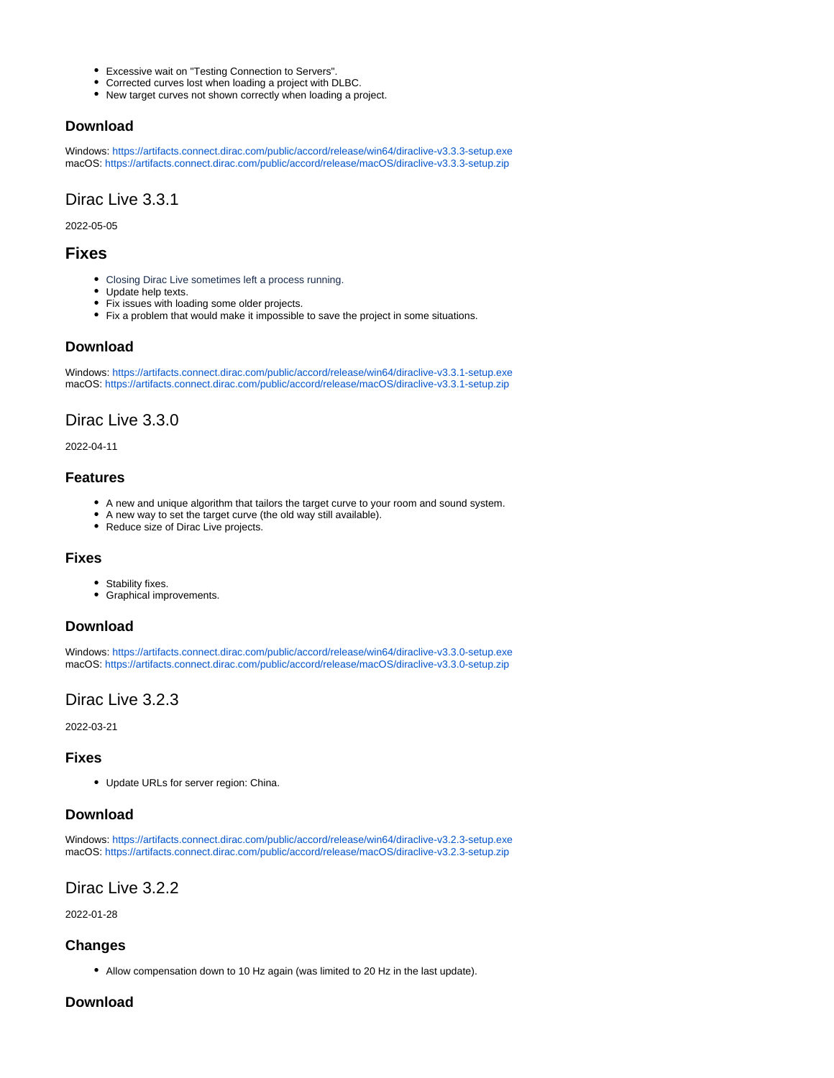- Excessive wait on "Testing Connection to Servers".
- Corrected curves lost when loading a project with DLBC.
- New target curves not shown correctly when loading a project.

### **Download**

Windows: <https://artifacts.connect.dirac.com/public/accord/release/win64/diraclive-v3.3.3-setup.exe> macOS: [https://artifacts.connect.dirac.com/public/accord/release/macOS/diraclive-v3.3.3-setup.zip](https://artifacts.connect.dirac.com/public/accord/release/macos/diraclive-v3.3.3-setup.zip)

## <span id="page-1-0"></span>Dirac Live 3.3.1

2022-05-05

## **Fixes**

- Closing Dirac Live sometimes left a process running.
- Update help texts.
- Fix issues with loading some older projects.
- Fix a problem that would make it impossible to save the project in some situations.

### **Download**

Windows: <https://artifacts.connect.dirac.com/public/accord/release/win64/diraclive-v3.3.1-setup.exe> macOS: [https://artifacts.connect.dirac.com/public/accord/release/macOS/diraclive-v3.3.1-setup.zip](https://artifacts.connect.dirac.com/public/accord/release/macos/diraclive-v3.3.1-setup.zip)

## <span id="page-1-1"></span>Dirac Live 3.3.0

2022-04-11

### **Features**

- A new and unique algorithm that tailors the target curve to your room and sound system.
- A new way to set the target curve (the old way still available).
- Reduce size of Dirac Live projects.

#### **Fixes**

- Stability fixes.
- Graphical improvements.

#### **Download**

Windows: <https://artifacts.connect.dirac.com/public/accord/release/win64/diraclive-v3.3.0-setup.exe> macOS: [https://artifacts.connect.dirac.com/public/accord/release/macOS/diraclive-v3.3.0-setup.zip](https://artifacts.connect.dirac.com/public/accord/release/macos/diraclive-v3.3.0-setup.zip)

## <span id="page-1-2"></span>Dirac Live 3.2.3

2022-03-21

#### **Fixes**

Update URLs for server region: China.

#### **Download**

Windows: <https://artifacts.connect.dirac.com/public/accord/release/win64/diraclive-v3.2.3-setup.exe> macOS: [https://artifacts.connect.dirac.com/public/accord/release/macOS/diraclive-v3.2.3-setup.zip](https://artifacts.connect.dirac.com/public/accord/release/macos/diraclive-v3.2.3-setup.zip)

## <span id="page-1-3"></span>Dirac Live 3.2.2

2022-01-28

### **Changes**

Allow compensation down to 10 Hz again (was limited to 20 Hz in the last update).

### **Download**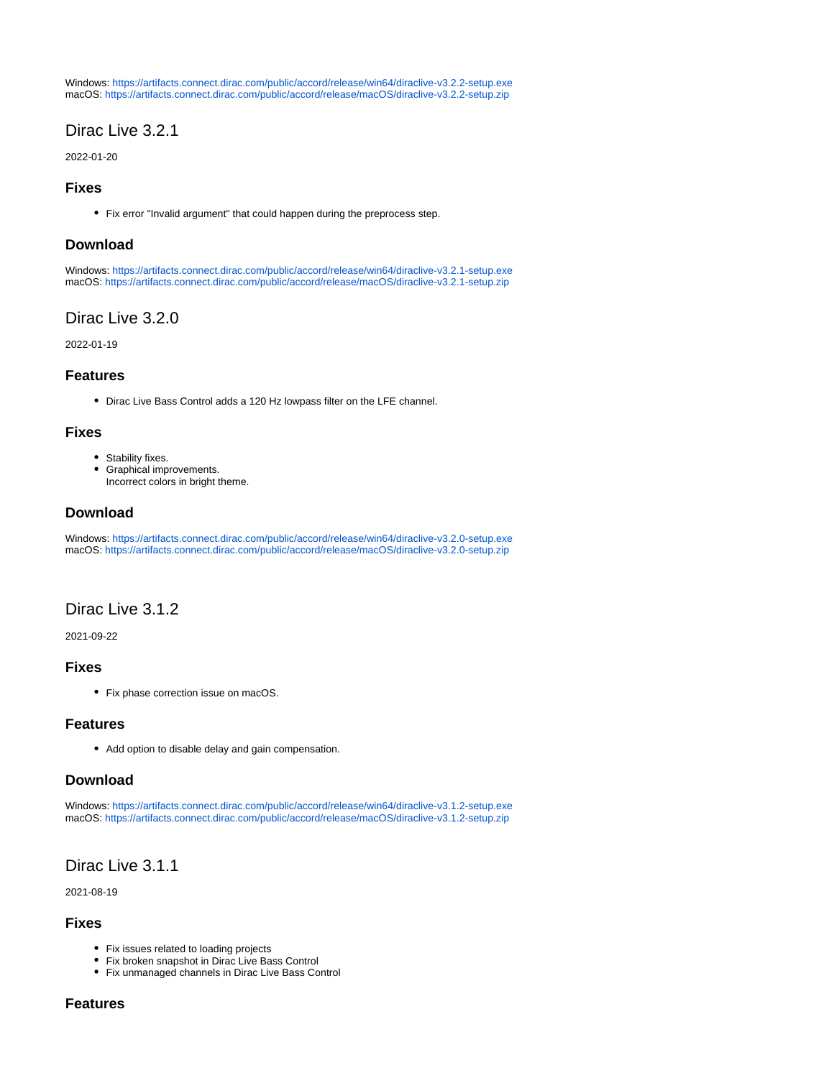Windows: <https://artifacts.connect.dirac.com/public/accord/release/win64/diraclive-v3.2.2-setup.exe> macOS: [https://artifacts.connect.dirac.com/public/accord/release/macOS/diraclive-v3.2.2-setup.zip](https://artifacts.connect.dirac.com/public/accord/release/macos/diraclive-v3.2.2-setup.zip)

## <span id="page-2-0"></span>Dirac Live 3.2.1

2022-01-20

### **Fixes**

Fix error "Invalid argument" that could happen during the preprocess step.

#### **Download**

Windows: <https://artifacts.connect.dirac.com/public/accord/release/win64/diraclive-v3.2.1-setup.exe> macOS: [https://artifacts.connect.dirac.com/public/accord/release/macOS/diraclive-v3.2.1-setup.zip](https://artifacts.connect.dirac.com/public/accord/release/macos/diraclive-v3.2.1-setup.zip)

### <span id="page-2-1"></span>Dirac Live 3.2.0

2022-01-19

#### **Features**

Dirac Live Bass Control adds a 120 Hz lowpass filter on the LFE channel.

#### **Fixes**

- Stability fixes.
- Graphical improvements. Incorrect colors in bright theme.

### **Download**

Windows: <https://artifacts.connect.dirac.com/public/accord/release/win64/diraclive-v3.2.0-setup.exe> macOS: [https://artifacts.connect.dirac.com/public/accord/release/macOS/diraclive-v3.2.0-setup.zip](https://artifacts.connect.dirac.com/public/accord/release/macos/diraclive-v3.2.0-setup.zip)

## <span id="page-2-2"></span>Dirac Live 3.1.2

2021-09-22

### **Fixes**

• Fix phase correction issue on macOS.

#### **Features**

Add option to disable delay and gain compensation.

#### **Download**

Windows: <https://artifacts.connect.dirac.com/public/accord/release/win64/diraclive-v3.1.2-setup.exe> macOS: [https://artifacts.connect.dirac.com/public/accord/release/macOS/diraclive-v3.1.2-setup.zip](https://artifacts.connect.dirac.com/public/accord/release/macos/diraclive-v3.1.2-setup.zip)

## <span id="page-2-3"></span>Dirac Live 3.1.1

2021-08-19

#### **Fixes**

- Fix issues related to loading projects
- Fix broken snapshot in Dirac Live Bass Control
- Fix unmanaged channels in Dirac Live Bass Control

### **Features**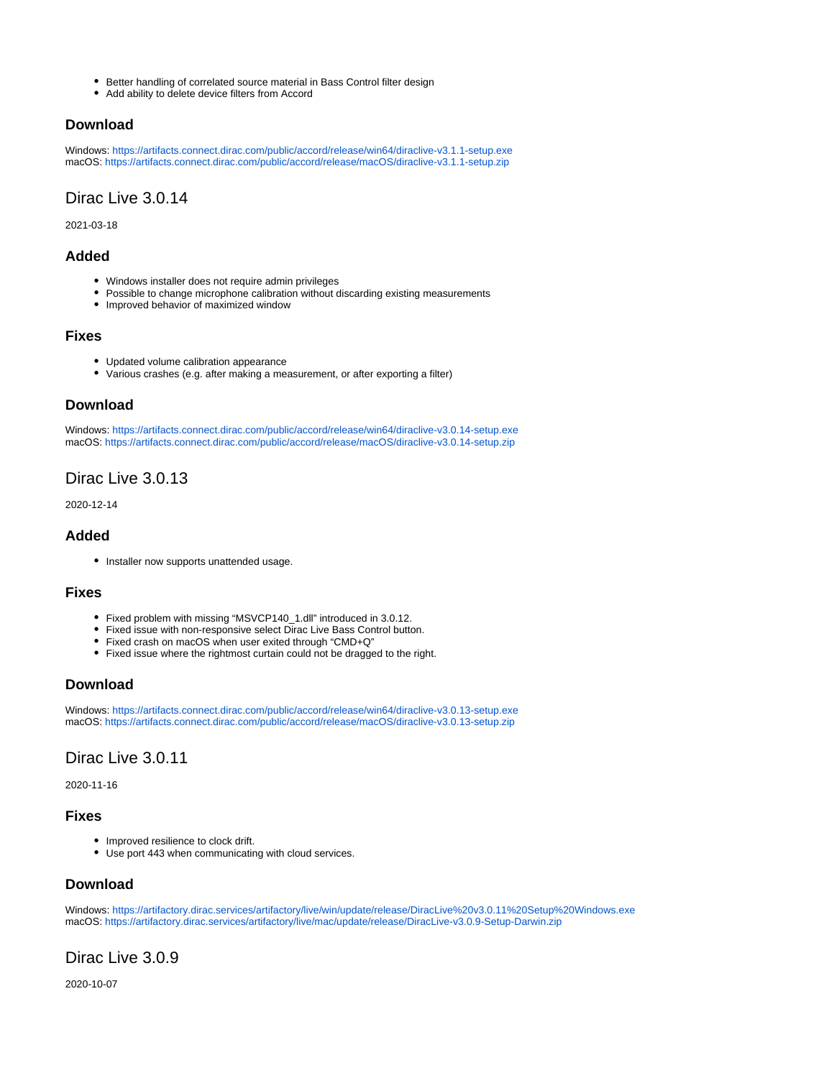- Better handling of correlated source material in Bass Control filter design
- $\bullet$ Add ability to delete device filters from Accord

### **Download**

Windows: <https://artifacts.connect.dirac.com/public/accord/release/win64/diraclive-v3.1.1-setup.exe> macOS: [https://artifacts.connect.dirac.com/public/accord/release/macOS/diraclive-v3.1.1-setup.zip](https://artifacts.connect.dirac.com/public/accord/release/macos/diraclive-v3.1.1-setup.zip)

## <span id="page-3-0"></span>Dirac Live 3.0.14

2021-03-18

### **Added**

- Windows installer does not require admin privileges
- Possible to change microphone calibration without discarding existing measurements
- Improved behavior of maximized window

### **Fixes**

- Updated volume calibration appearance
- Various crashes (e.g. after making a measurement, or after exporting a filter)

### **Download**

Windows: <https://artifacts.connect.dirac.com/public/accord/release/win64/diraclive-v3.0.14-setup.exe> macOS: [https://artifacts.connect.dirac.com/public/accord/release/macOS/diraclive-v3.0.14-setup.zip](https://artifacts.connect.dirac.com/public/accord/release/macos/diraclive-v3.0.14-setup.zip)

## <span id="page-3-1"></span>Dirac Live 3.0.13

2020-12-14

### **Added**

• Installer now supports unattended usage.

### **Fixes**

- Fixed problem with missing "MSVCP140\_1.dll" introduced in 3.0.12.
- Fixed issue with non-responsive select Dirac Live Bass Control button.
- Fixed crash on macOS when user exited through "CMD+Q"
- Fixed issue where the rightmost curtain could not be dragged to the right.

## **Download**

Windows: <https://artifacts.connect.dirac.com/public/accord/release/win64/diraclive-v3.0.13-setup.exe> macOS: [https://artifacts.connect.dirac.com/public/accord/release/macOS/diraclive-v3.0.13-setup.zip](https://artifacts.connect.dirac.com/public/accord/release/macos/diraclive-v3.0.13-setup.zip)

## <span id="page-3-2"></span>Dirac Live 3.0.11

2020-11-16

### **Fixes**

- Improved resilience to clock drift.
- Use port 443 when communicating with cloud services.

## **Download**

Windows: <https://artifactory.dirac.services/artifactory/live/win/update/release/DiracLive%20v3.0.11%20Setup%20Windows.exe> macOS:<https://artifactory.dirac.services/artifactory/live/mac/update/release/DiracLive-v3.0.9-Setup-Darwin.zip>

## <span id="page-3-3"></span>Dirac Live 3.0.9

2020-10-07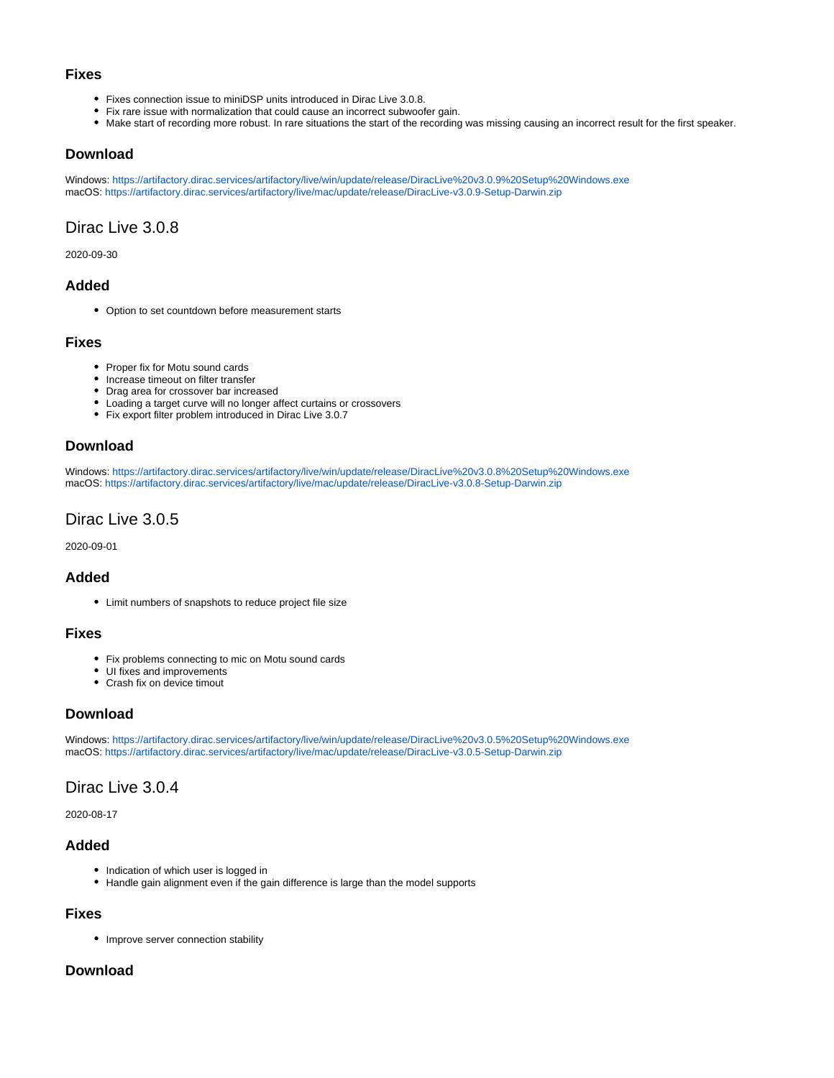#### **Fixes**

- Fixes connection issue to miniDSP units introduced in Dirac Live 3.0.8.
- Fix rare issue with normalization that could cause an incorrect subwoofer gain.
- Make start of recording more robust. In rare situations the start of the recording was missing causing an incorrect result for the first speaker.

#### **Download**

Windows: <https://artifactory.dirac.services/artifactory/live/win/update/release/DiracLive%20v3.0.9%20Setup%20Windows.exe> macOS:<https://artifactory.dirac.services/artifactory/live/mac/update/release/DiracLive-v3.0.9-Setup-Darwin.zip>

## <span id="page-4-0"></span>Dirac Live 3.0.8

2020-09-30

### **Added**

• Option to set countdown before measurement starts

#### **Fixes**

- Proper fix for Motu sound cards
- Increase timeout on filter transfer
- Drag area for crossover bar increased
- Loading a target curve will no longer affect curtains or crossovers
- Fix export filter problem introduced in Dirac Live 3.0.7

### **Download**

Windows: <https://artifactory.dirac.services/artifactory/live/win/update/release/DiracLive%20v3.0.8%20Setup%20Windows.exe> macOS:<https://artifactory.dirac.services/artifactory/live/mac/update/release/DiracLive-v3.0.8-Setup-Darwin.zip>

## <span id="page-4-1"></span>Dirac Live 3.0.5

2020-09-01

### **Added**

Limit numbers of snapshots to reduce project file size

#### **Fixes**

- Fix problems connecting to mic on Motu sound cards
- UI fixes and improvements
- Crash fix on device timout

#### **Download**

Windows: <https://artifactory.dirac.services/artifactory/live/win/update/release/DiracLive%20v3.0.5%20Setup%20Windows.exe> macOS:<https://artifactory.dirac.services/artifactory/live/mac/update/release/DiracLive-v3.0.5-Setup-Darwin.zip>

## <span id="page-4-2"></span>Dirac Live 3.0.4

2020-08-17

### **Added**

- Indication of which user is logged in
- Handle gain alignment even if the gain difference is large than the model supports

#### **Fixes**

• Improve server connection stability

#### **Download**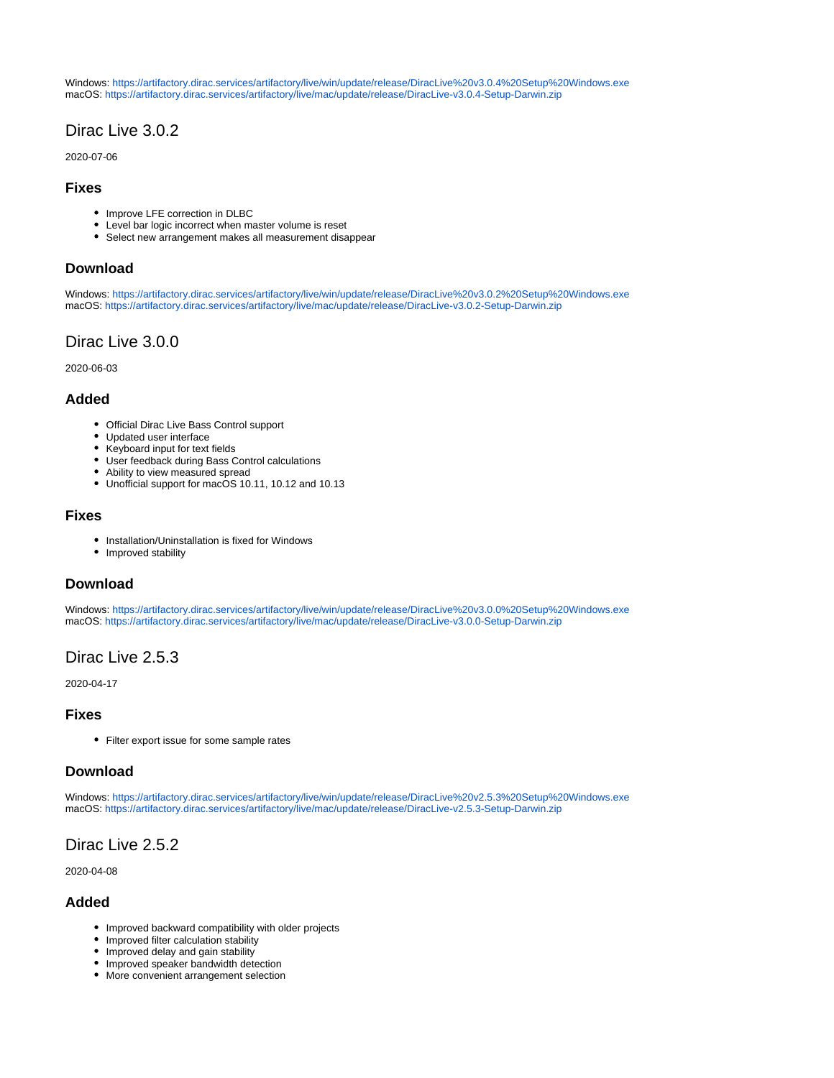Windows: <https://artifactory.dirac.services/artifactory/live/win/update/release/DiracLive%20v3.0.4%20Setup%20Windows.exe> macOS:<https://artifactory.dirac.services/artifactory/live/mac/update/release/DiracLive-v3.0.4-Setup-Darwin.zip>

## <span id="page-5-0"></span>Dirac Live 3.0.2

2020-07-06

### **Fixes**

- Improve LFE correction in DLBC
- Level bar logic incorrect when master volume is reset
- Select new arrangement makes all measurement disappear

### **Download**

Windows: <https://artifactory.dirac.services/artifactory/live/win/update/release/DiracLive%20v3.0.2%20Setup%20Windows.exe> macOS:<https://artifactory.dirac.services/artifactory/live/mac/update/release/DiracLive-v3.0.2-Setup-Darwin.zip>

## <span id="page-5-1"></span>Dirac Live 3.0.0

2020-06-03

### **Added**

- Official Dirac Live Bass Control support
- Updated user interface
- $\bullet$ Keyboard input for text fields
- User feedback during Bass Control calculations
- Ability to view measured spread
- Unofficial support for macOS 10.11, 10.12 and 10.13

### **Fixes**

- Installation/Uninstallation is fixed for Windows
- Improved stability

### **Download**

Windows: <https://artifactory.dirac.services/artifactory/live/win/update/release/DiracLive%20v3.0.0%20Setup%20Windows.exe> macOS:<https://artifactory.dirac.services/artifactory/live/mac/update/release/DiracLive-v3.0.0-Setup-Darwin.zip>

## <span id="page-5-2"></span>Dirac Live 2.5.3

2020-04-17

#### **Fixes**

• Filter export issue for some sample rates

## **Download**

Windows: <https://artifactory.dirac.services/artifactory/live/win/update/release/DiracLive%20v2.5.3%20Setup%20Windows.exe> macOS:<https://artifactory.dirac.services/artifactory/live/mac/update/release/DiracLive-v2.5.3-Setup-Darwin.zip>

## <span id="page-5-3"></span>Dirac Live 2.5.2

2020-04-08

## **Added**

- Improved backward compatibility with older projects
- Improved filter calculation stability
- Improved delay and gain stability
- Improved speaker bandwidth detection
- More convenient arrangement selection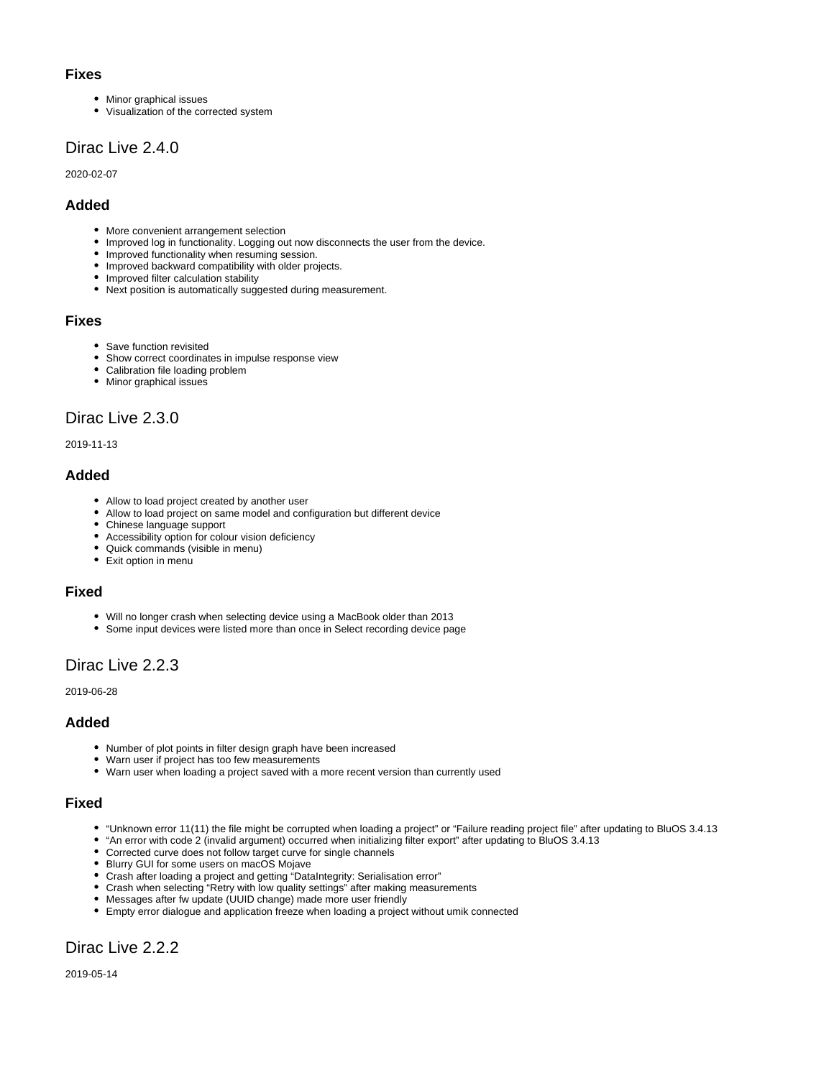#### **Fixes**

- Minor graphical issues
- Visualization of the corrected system

## <span id="page-6-0"></span>Dirac Live 2.4.0

2020-02-07

## **Added**

- More convenient arrangement selection
- Improved log in functionality. Logging out now disconnects the user from the device.
- Improved functionality when resuming session.
- Improved backward compatibility with older projects.
- Improved filter calculation stability
- Next position is automatically suggested during measurement.

### **Fixes**

- Save function revisited
- Show correct coordinates in impulse response view
- Calibration file loading problem
- Minor graphical issues

## <span id="page-6-1"></span>Dirac Live 2.3.0

2019-11-13

## **Added**

- Allow to load project created by another user
- Allow to load project on same model and configuration but different device
- Chinese language support
- Accessibility option for colour vision deficiency
- Quick commands (visible in menu)
- Exit option in menu

### **Fixed**

- Will no longer crash when selecting device using a MacBook older than 2013
- Some input devices were listed more than once in Select recording device page

# <span id="page-6-2"></span>Dirac Live 2.2.3

2019-06-28

## **Added**

- Number of plot points in filter design graph have been increased
- Warn user if project has too few measurements
- Warn user when loading a project saved with a more recent version than currently used

### **Fixed**

- "Unknown error 11(11) the file might be corrupted when loading a project" or "Failure reading project file" after updating to BluOS 3.4.13
- "An error with code 2 (invalid argument) occurred when initializing filter export" after updating to BluOS 3.4.13
- Corrected curve does not follow target curve for single channels
- Blurry GUI for some users on macOS Mojave
- Crash after loading a project and getting "DataIntegrity: Serialisation error"
- Crash when selecting "Retry with low quality settings" after making measurements
- Messages after fw update (UUID change) made more user friendly
- Empty error dialogue and application freeze when loading a project without umik connected

## <span id="page-6-3"></span>Dirac Live 2.2.2

2019-05-14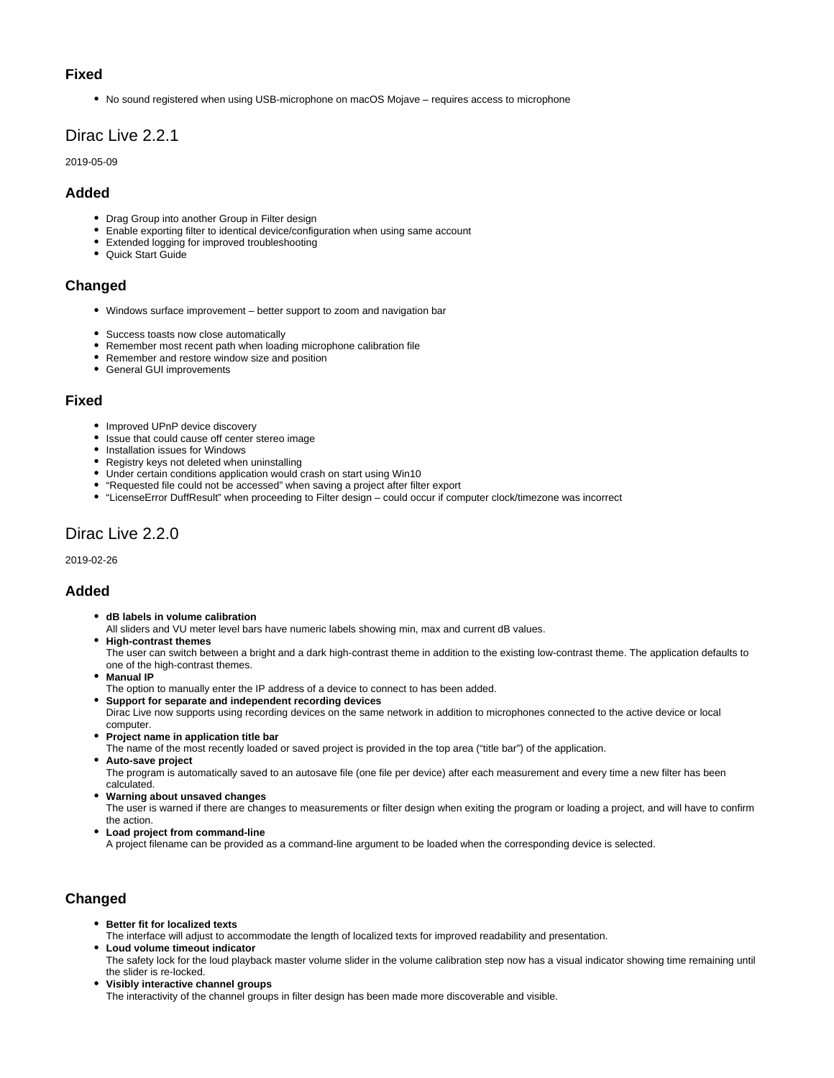### **Fixed**

• No sound registered when using USB-microphone on macOS Mojave – requires access to microphone

## <span id="page-7-0"></span>Dirac Live 2.2.1

2019-05-09

### **Added**

- Drag Group into another Group in Filter design
- Enable exporting filter to identical device/configuration when using same account
- Extended logging for improved troubleshooting
- Quick Start Guide

### **Changed**

- Windows surface improvement better support to zoom and navigation bar
- Success toasts now close automatically
- Remember most recent path when loading microphone calibration file
- Remember and restore window size and position
- General GUI improvements

### **Fixed**

- Improved UPnP device discovery
- Issue that could cause off center stereo image
- **•** Installation issues for Windows
- Registry keys not deleted when uninstalling
- Under certain conditions application would crash on start using Win10
- "Requested file could not be accessed" when saving a project after filter export
- "LicenseError DuffResult" when proceeding to Filter design could occur if computer clock/timezone was incorrect

## <span id="page-7-1"></span>Dirac Live 2.2.0

2019-02-26

### **Added**

- **dB labels in volume calibration**
- All sliders and VU meter level bars have numeric labels showing min, max and current dB values.
- **High-contrast themes**

The user can switch between a bright and a dark high-contrast theme in addition to the existing low-contrast theme. The application defaults to one of the high-contrast themes.

- **Manual IP**
- The option to manually enter the IP address of a device to connect to has been added.
- **Support for separate and independent recording devices** Dirac Live now supports using recording devices on the same network in addition to microphones connected to the active device or local computer.
- **Project name in application title bar**

The name of the most recently loaded or saved project is provided in the top area ("title bar") of the application.

**Auto-save project** The program is automatically saved to an autosave file (one file per device) after each measurement and every time a new filter has been calculated.

**Warning about unsaved changes** 

The user is warned if there are changes to measurements or filter design when exiting the program or loading a project, and will have to confirm the action.

**Load project from command-line**

A project filename can be provided as a command-line argument to be loaded when the corresponding device is selected.

## **Changed**

**Better fit for localized texts** 

The interface will adjust to accommodate the length of localized texts for improved readability and presentation.

- **Loud volume timeout indicator** The safety lock for the loud playback master volume slider in the volume calibration step now has a visual indicator showing time remaining until the slider is re-locked.
- **Visibly interactive channel groups** The interactivity of the channel groups in filter design has been made more discoverable and visible.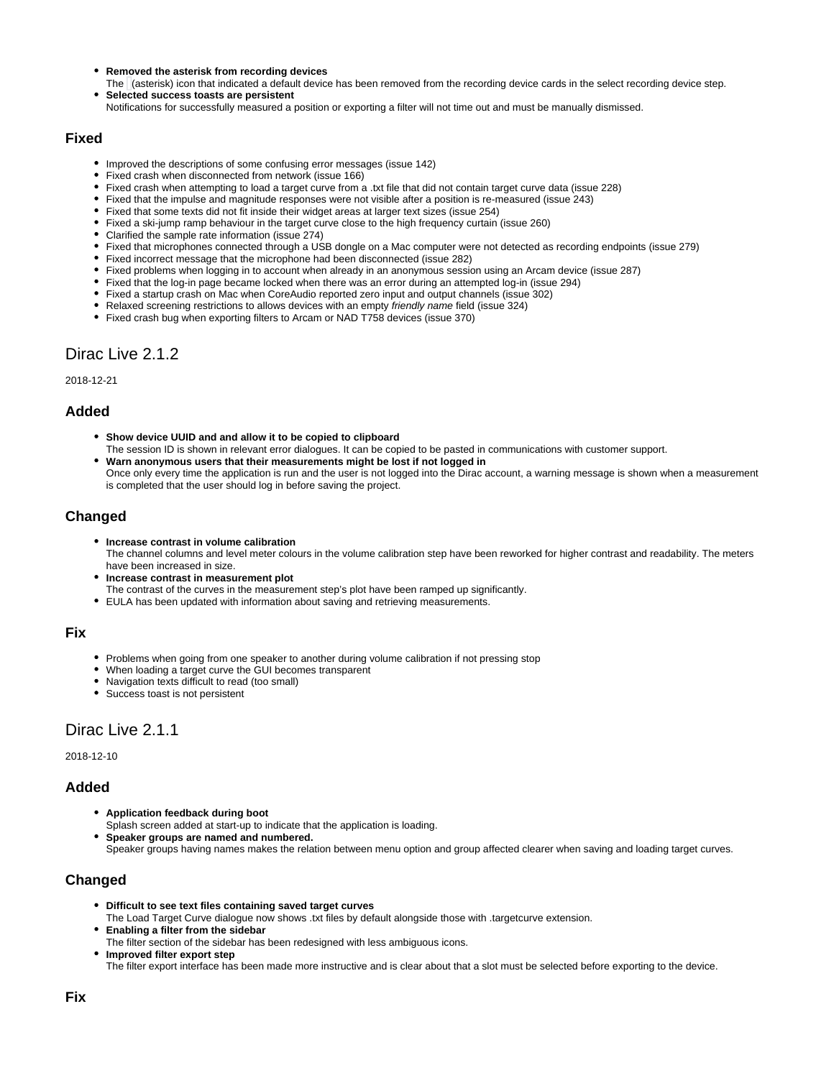- **Removed the asterisk from recording devices**
- The (asterisk) icon that indicated a default device has been removed from the recording device cards in the select recording device step. **Selected success toasts are persistent**
- Notifications for successfully measured a position or exporting a filter will not time out and must be manually dismissed.

#### **Fixed**

- Improved the descriptions of some confusing error messages (issue 142)
- Fixed crash when disconnected from network (issue 166)
- Fixed crash when attempting to load a target curve from a .txt file that did not contain target curve data (issue 228)
- Fixed that the impulse and magnitude responses were not visible after a position is re-measured (issue 243)
- Fixed that some texts did not fit inside their widget areas at larger text sizes (issue 254)
- Fixed a ski-jump ramp behaviour in the target curve close to the high frequency curtain (issue 260)
- Clarified the sample rate information (issue 274)
- Fixed that microphones connected through a USB dongle on a Mac computer were not detected as recording endpoints (issue 279)
- Fixed incorrect message that the microphone had been disconnected (issue 282)
- Fixed problems when logging in to account when already in an anonymous session using an Arcam device (issue 287)
- Fixed that the log-in page became locked when there was an error during an attempted log-in (issue 294)
- Fixed a startup crash on Mac when CoreAudio reported zero input and output channels (issue 302)
- Relaxed screening restrictions to allows devices with an empty *friendly name* field (issue 324)
- Fixed crash bug when exporting filters to Arcam or NAD T758 devices (issue 370)

## <span id="page-8-0"></span>Dirac Live 2.1.2

#### 2018-12-21

### **Added**

- **Show device UUID and and allow it to be copied to clipboard**
- The session ID is shown in relevant error dialogues. It can be copied to be pasted in communications with customer support.
- **Warn anonymous users that their measurements might be lost if not logged in** Once only every time the application is run and the user is not logged into the Dirac account, a warning message is shown when a measurement is completed that the user should log in before saving the project.

### **Changed**

- **Increase contrast in volume calibration** The channel columns and level meter colours in the volume calibration step have been reworked for higher contrast and readability. The meters have been increased in size.
- **Increase contrast in measurement plot**
- The contrast of the curves in the measurement step's plot have been ramped up significantly.
- EULA has been updated with information about saving and retrieving measurements.

#### **Fix**

- Problems when going from one speaker to another during volume calibration if not pressing stop
- When loading a target curve the GUI becomes transparent
- Navigation texts difficult to read (too small)
- Success toast is not persistent

## <span id="page-8-1"></span>Dirac Live 2.1.1

2018-12-10

#### **Added**

- **Application feedback during boot**
- Splash screen added at start-up to indicate that the application is loading.
- **Speaker groups are named and numbered.** Speaker groups having names makes the relation between menu option and group affected clearer when saving and loading target curves.

### **Changed**

- **Difficult to see text files containing saved target curves**
- The Load Target Curve dialogue now shows .txt files by default alongside those with .targetcurve extension. **Enabling a filter from the sidebar**
- The filter section of the sidebar has been redesigned with less ambiguous icons. **Improved filter export step**

The filter export interface has been made more instructive and is clear about that a slot must be selected before exporting to the device.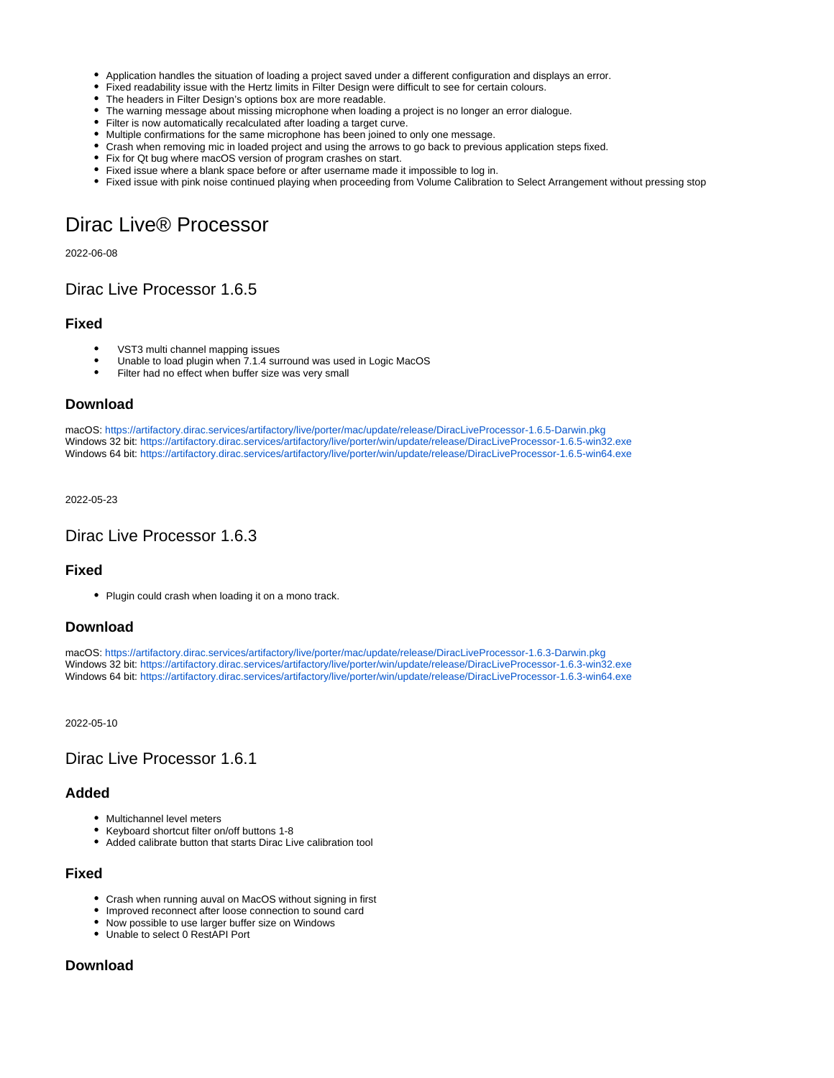- Application handles the situation of loading a project saved under a different configuration and displays an error.
- Fixed readability issue with the Hertz limits in Filter Design were difficult to see for certain colours.
- The headers in Filter Design's options box are more readable.
- The warning message about missing microphone when loading a project is no longer an error dialogue.
- Filter is now automatically recalculated after loading a target curve.
- Multiple confirmations for the same microphone has been joined to only one message.
- Crash when removing mic in loaded project and using the arrows to go back to previous application steps fixed.
- Fix for Qt bug where macOS version of program crashes on start.
- Fixed issue where a blank space before or after username made it impossible to log in.
- Fixed issue with pink noise continued playing when proceeding from Volume Calibration to Select Arrangement without pressing stop

# <span id="page-9-0"></span>Dirac Live® Processor

2022-06-08

## <span id="page-9-1"></span>Dirac Live Processor 1.6.5

#### **Fixed**

- VST3 multi channel mapping issues
- $\bullet$ Unable to load plugin when 7.1.4 surround was used in Logic MacOS
- Filter had no effect when buffer size was very small

#### **Download**

macOS:<https://artifactory.dirac.services/artifactory/live/porter/mac/update/release/DiracLiveProcessor-1.6.5-Darwin.pkg> Windows 32 bit:<https://artifactory.dirac.services/artifactory/live/porter/win/update/release/DiracLiveProcessor-1.6.5-win32.exe> Windows 64 bit:<https://artifactory.dirac.services/artifactory/live/porter/win/update/release/DiracLiveProcessor-1.6.5-win64.exe>

#### 2022-05-23

### <span id="page-9-2"></span>Dirac Live Processor 1.6.3

#### **Fixed**

• Plugin could crash when loading it on a mono track.

#### **Download**

macOS:<https://artifactory.dirac.services/artifactory/live/porter/mac/update/release/DiracLiveProcessor-1.6.3-Darwin.pkg> Windows 32 bit:<https://artifactory.dirac.services/artifactory/live/porter/win/update/release/DiracLiveProcessor-1.6.3-win32.exe> Windows 64 bit:<https://artifactory.dirac.services/artifactory/live/porter/win/update/release/DiracLiveProcessor-1.6.3-win64.exe>

2022-05-10

## <span id="page-9-3"></span>Dirac Live Processor 1.6.1

### **Added**

- Multichannel level meters
- Keyboard shortcut filter on/off buttons 1-8
- Added calibrate button that starts Dirac Live calibration tool

#### **Fixed**

- Crash when running auval on MacOS without signing in first
- Improved reconnect after loose connection to sound card
- Now possible to use larger buffer size on Windows
- Unable to select 0 RestAPI Port

### **Download**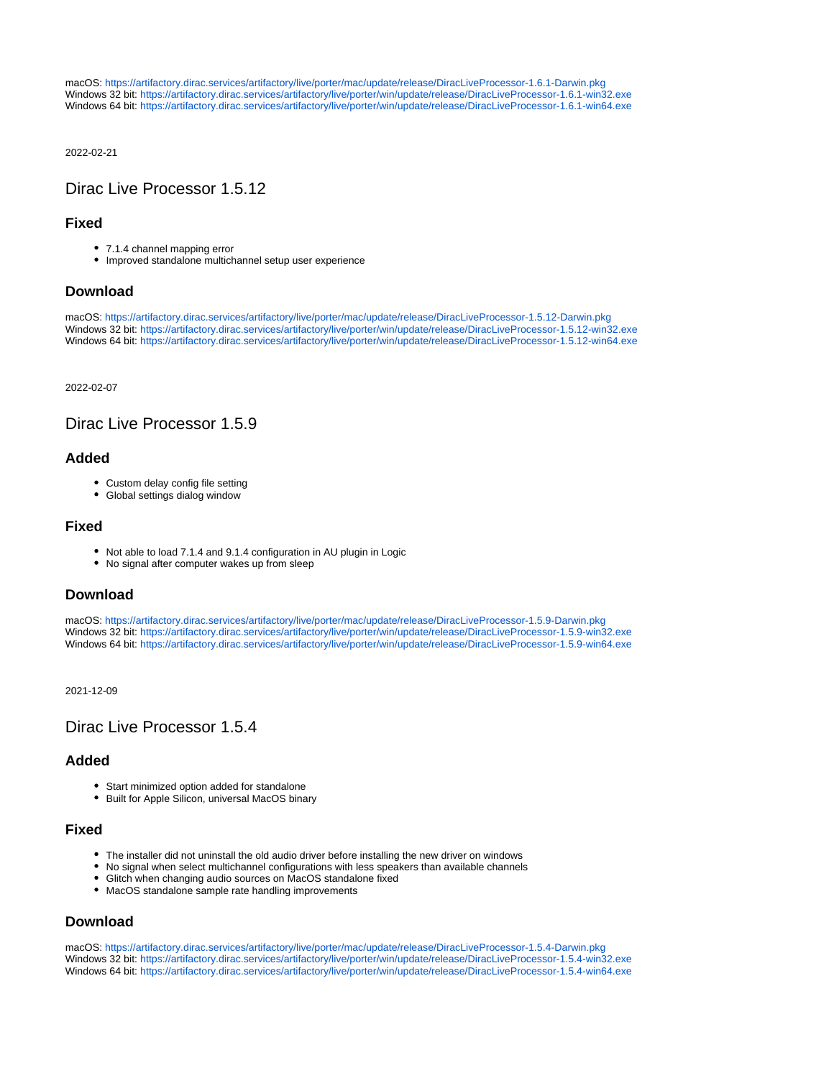macOS:<https://artifactory.dirac.services/artifactory/live/porter/mac/update/release/DiracLiveProcessor-1.6.1-Darwin.pkg> Windows 32 bit:<https://artifactory.dirac.services/artifactory/live/porter/win/update/release/DiracLiveProcessor-1.6.1-win32.exe> Windows 64 bit:<https://artifactory.dirac.services/artifactory/live/porter/win/update/release/DiracLiveProcessor-1.6.1-win64.exe>

2022-02-21

## <span id="page-10-0"></span>Dirac Live Processor 1.5.12

### **Fixed**

- 7.1.4 channel mapping error
- Improved standalone multichannel setup user experience

### **Download**

macOS:<https://artifactory.dirac.services/artifactory/live/porter/mac/update/release/DiracLiveProcessor-1.5.12-Darwin.pkg> Windows 32 bit:<https://artifactory.dirac.services/artifactory/live/porter/win/update/release/DiracLiveProcessor-1.5.12-win32.exe> Windows 64 bit:<https://artifactory.dirac.services/artifactory/live/porter/win/update/release/DiracLiveProcessor-1.5.12-win64.exe>

2022-02-07

## <span id="page-10-1"></span>Dirac Live Processor 1.5.9

### **Added**

- Custom delay config file setting
- Global settings dialog window

#### **Fixed**

- Not able to load 7.1.4 and 9.1.4 configuration in AU plugin in Logic
- No signal after computer wakes up from sleep

### **Download**

macOS:<https://artifactory.dirac.services/artifactory/live/porter/mac/update/release/DiracLiveProcessor-1.5.9-Darwin.pkg> Windows 32 bit:<https://artifactory.dirac.services/artifactory/live/porter/win/update/release/DiracLiveProcessor-1.5.9-win32.exe> Windows 64 bit:<https://artifactory.dirac.services/artifactory/live/porter/win/update/release/DiracLiveProcessor-1.5.9-win64.exe>

2021-12-09

## <span id="page-10-2"></span>Dirac Live Processor 1.5.4

### **Added**

- Start minimized option added for standalone
- Built for Apple Silicon, universal MacOS binary

#### **Fixed**

- The installer did not uninstall the old audio driver before installing the new driver on windows
- No signal when select multichannel configurations with less speakers than available channels
- Glitch when changing audio sources on MacOS standalone fixed
- MacOS standalone sample rate handling improvements

## **Download**

macOS:<https://artifactory.dirac.services/artifactory/live/porter/mac/update/release/DiracLiveProcessor-1.5.4-Darwin.pkg> Windows 32 bit:<https://artifactory.dirac.services/artifactory/live/porter/win/update/release/DiracLiveProcessor-1.5.4-win32.exe> Windows 64 bit:<https://artifactory.dirac.services/artifactory/live/porter/win/update/release/DiracLiveProcessor-1.5.4-win64.exe>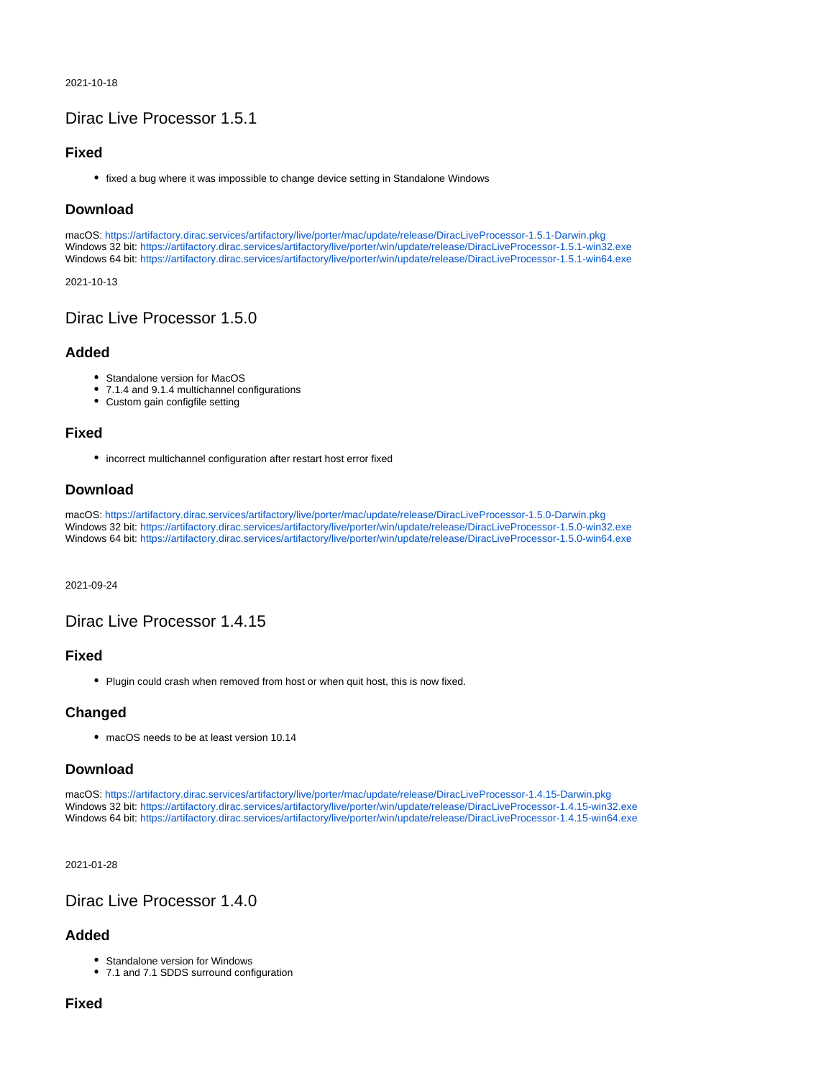2021-10-18

## <span id="page-11-0"></span>Dirac Live Processor 1.5.1

### **Fixed**

fixed a bug where it was impossible to change device setting in Standalone Windows

## **Download**

macOS:<https://artifactory.dirac.services/artifactory/live/porter/mac/update/release/DiracLiveProcessor-1.5.1-Darwin.pkg> Windows 32 bit:<https://artifactory.dirac.services/artifactory/live/porter/win/update/release/DiracLiveProcessor-1.5.1-win32.exe> Windows 64 bit:<https://artifactory.dirac.services/artifactory/live/porter/win/update/release/DiracLiveProcessor-1.5.1-win64.exe>

2021-10-13

## <span id="page-11-1"></span>Dirac Live Processor 1.5.0

### **Added**

- Standalone version for MacOS
- 7.1.4 and 9.1.4 multichannel configurations
- Custom gain configfile setting

### **Fixed**

incorrect multichannel configuration after restart host error fixed

## **Download**

macOS:<https://artifactory.dirac.services/artifactory/live/porter/mac/update/release/DiracLiveProcessor-1.5.0-Darwin.pkg> Windows 32 bit:<https://artifactory.dirac.services/artifactory/live/porter/win/update/release/DiracLiveProcessor-1.5.0-win32.exe> Windows 64 bit:<https://artifactory.dirac.services/artifactory/live/porter/win/update/release/DiracLiveProcessor-1.5.0-win64.exe>

2021-09-24

## <span id="page-11-2"></span>Dirac Live Processor 1.4.15

### **Fixed**

• Plugin could crash when removed from host or when quit host, this is now fixed.

### **Changed**

• macOS needs to be at least version 10.14

### **Download**

macOS:<https://artifactory.dirac.services/artifactory/live/porter/mac/update/release/DiracLiveProcessor-1.4.15-Darwin.pkg> Windows 32 bit:<https://artifactory.dirac.services/artifactory/live/porter/win/update/release/DiracLiveProcessor-1.4.15-win32.exe> Windows 64 bit:<https://artifactory.dirac.services/artifactory/live/porter/win/update/release/DiracLiveProcessor-1.4.15-win64.exe>

2021-01-28

## <span id="page-11-3"></span>Dirac Live Processor 1.4.0

## **Added**

- Standalone version for Windows
- 7.1 and 7.1 SDDS surround configuration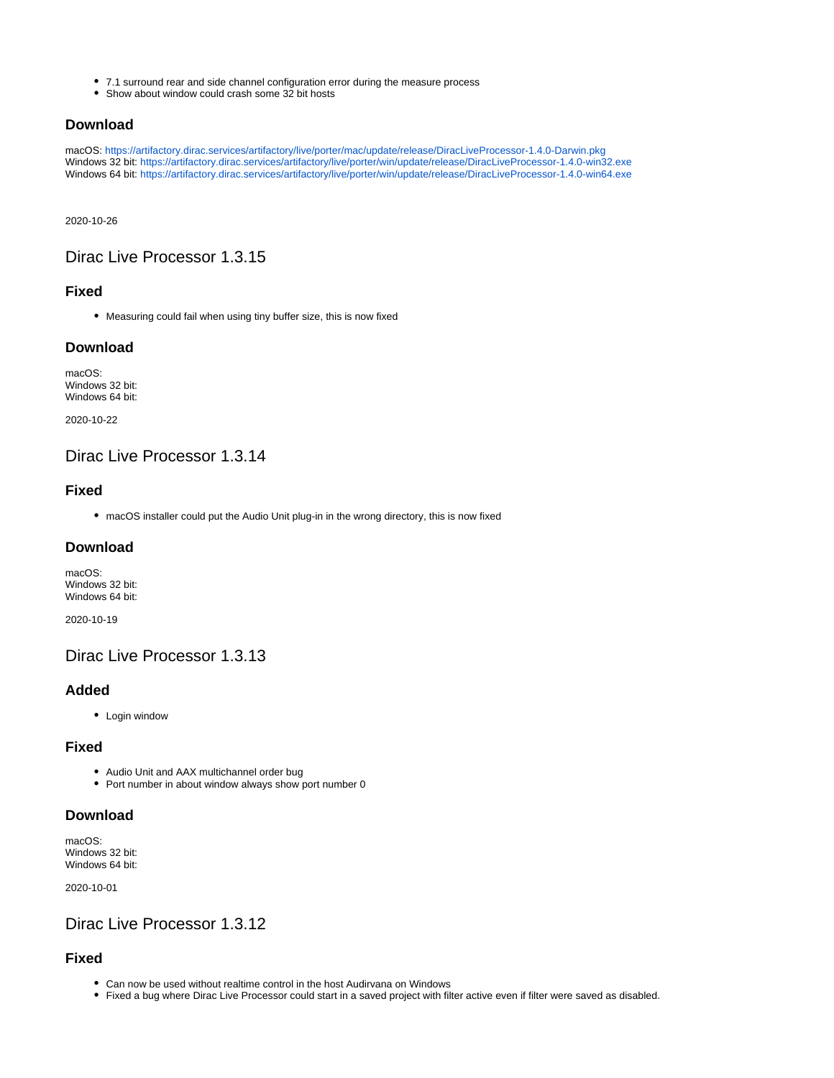- 7.1 surround rear and side channel configuration error during the measure process
- Show about window could crash some 32 bit hosts

### **Download**

macOS:<https://artifactory.dirac.services/artifactory/live/porter/mac/update/release/DiracLiveProcessor-1.4.0-Darwin.pkg> Windows 32 bit:<https://artifactory.dirac.services/artifactory/live/porter/win/update/release/DiracLiveProcessor-1.4.0-win32.exe> Windows 64 bit:<https://artifactory.dirac.services/artifactory/live/porter/win/update/release/DiracLiveProcessor-1.4.0-win64.exe>

2020-10-26

## <span id="page-12-0"></span>Dirac Live Processor 1.3.15

### **Fixed**

Measuring could fail when using tiny buffer size, this is now fixed

### **Download**

macOS: Windows 32 bit: Windows 64 bit:

2020-10-22

## <span id="page-12-1"></span>Dirac Live Processor 1.3.14

### **Fixed**

macOS installer could put the Audio Unit plug-in in the wrong directory, this is now fixed

### **Download**

macOS: Windows 32 bit: Windows 64 bit:

2020-10-19

<span id="page-12-2"></span>Dirac Live Processor 1.3.13

### **Added**

• Login window

#### **Fixed**

- Audio Unit and AAX multichannel order bug
- Port number in about window always show port number 0

### **Download**

macOS: Windows 32 bit: Windows 64 bit:

2020-10-01

## <span id="page-12-3"></span>Dirac Live Processor 1.3.12

- Can now be used without realtime control in the host Audirvana on Windows
- Fixed a bug where Dirac Live Processor could start in a saved project with filter active even if filter were saved as disabled.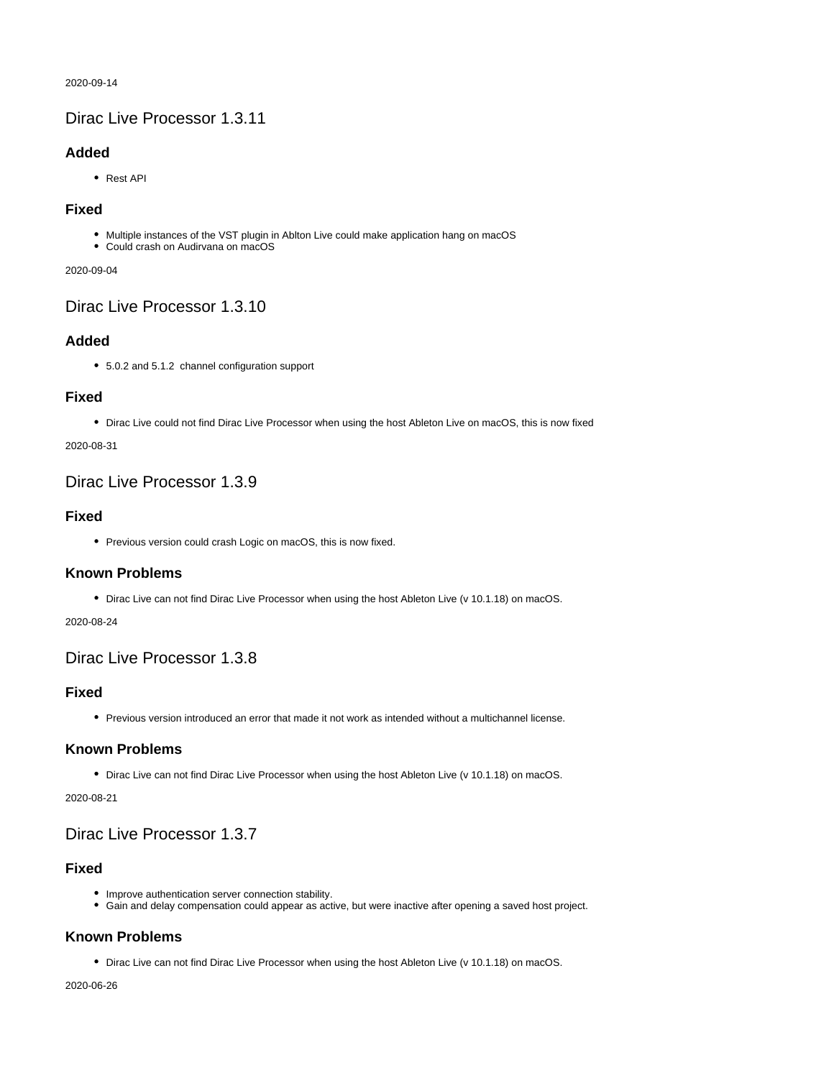2020-09-14

## <span id="page-13-0"></span>Dirac Live Processor 1.3.11

### **Added**

• Rest API

### **Fixed**

- Multiple instances of the VST plugin in Ablton Live could make application hang on macOS
- Could crash on Audirvana on macOS

#### 2020-09-04

<span id="page-13-1"></span>Dirac Live Processor 1.3.10

## **Added**

5.0.2 and 5.1.2 channel configuration support

### **Fixed**

Dirac Live could not find Dirac Live Processor when using the host Ableton Live on macOS, this is now fixed

### 2020-08-31

## <span id="page-13-2"></span>Dirac Live Processor 1.3.9

### **Fixed**

• Previous version could crash Logic on macOS, this is now fixed.

## **Known Problems**

• Dirac Live can not find Dirac Live Processor when using the host Ableton Live (v 10.1.18) on macOS.

#### 2020-08-24

## <span id="page-13-3"></span>Dirac Live Processor 1.3.8

### **Fixed**

Previous version introduced an error that made it not work as intended without a multichannel license.

## **Known Problems**

Dirac Live can not find Dirac Live Processor when using the host Ableton Live (v 10.1.18) on macOS.

2020-08-21

## <span id="page-13-4"></span>Dirac Live Processor 1.3.7

## **Fixed**

- Improve authentication server connection stability.
- Gain and delay compensation could appear as active, but were inactive after opening a saved host project.

## **Known Problems**

• Dirac Live can not find Dirac Live Processor when using the host Ableton Live (v 10.1.18) on macOS.

<span id="page-13-5"></span>2020-06-26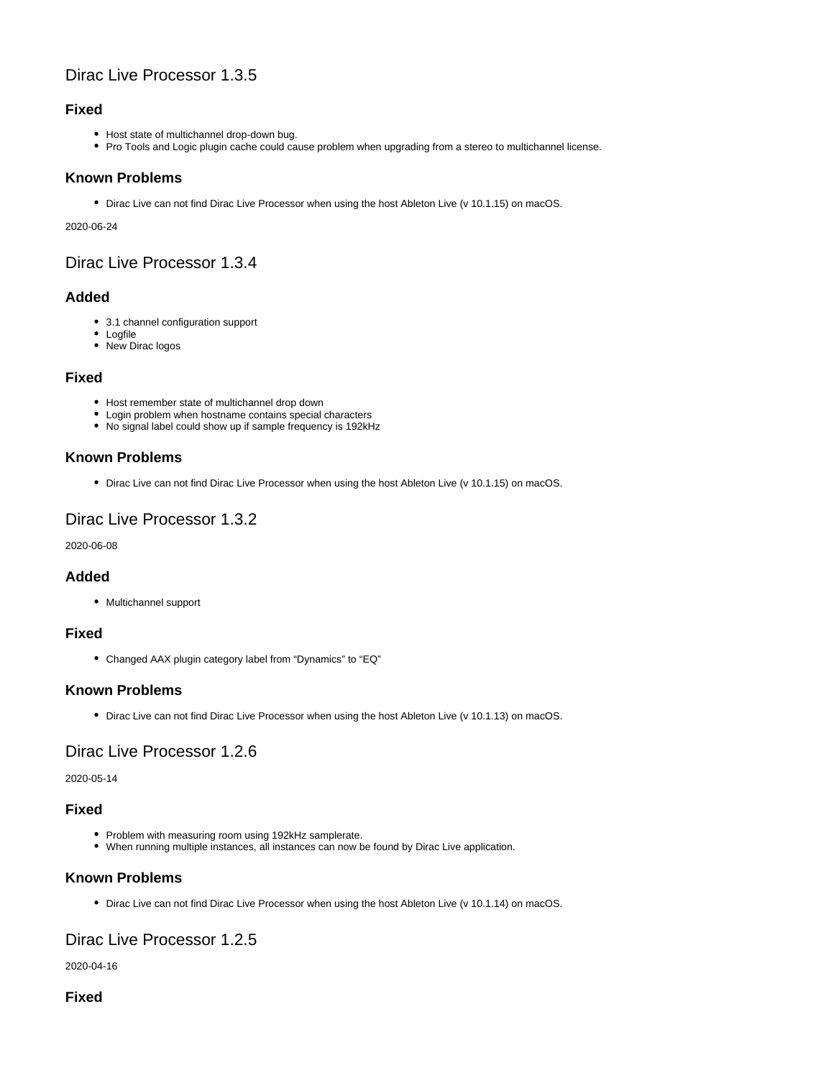## Dirac Live Processor 1.3.5

## **Fixed**

- Host state of multichannel drop-down bug.
- Pro Tools and Logic plugin cache could cause problem when upgrading from a stereo to multichannel license.

### **Known Problems**

Dirac Live can not find Dirac Live Processor when using the host Ableton Live (v 10.1.15) on macOS.

2020-06-24

## <span id="page-14-0"></span>Dirac Live Processor 1.3.4

### **Added**

- 3.1 channel configuration support
- Logfile
- New Dirac logos

### **Fixed**

- Host remember state of multichannel drop down
- Login problem when hostname contains special characters
- No signal label could show up if sample frequency is 192kHz

## **Known Problems**

• Dirac Live can not find Dirac Live Processor when using the host Ableton Live (v 10.1.15) on macOS.

## <span id="page-14-1"></span>Dirac Live Processor 1.3.2

2020-06-08

## **Added**

• Multichannel support

### **Fixed**

Changed AAX plugin category label from "Dynamics" to "EQ"

### **Known Problems**

Dirac Live can not find Dirac Live Processor when using the host Ableton Live (v 10.1.13) on macOS.

## <span id="page-14-2"></span>Dirac Live Processor 1.2.6

2020-05-14

### **Fixed**

- Problem with measuring room using 192kHz samplerate.
- When running multiple instances, all instances can now be found by Dirac Live application.

## **Known Problems**

Dirac Live can not find Dirac Live Processor when using the host Ableton Live (v 10.1.14) on macOS.

## <span id="page-14-3"></span>Dirac Live Processor 1.2.5

2020-04-16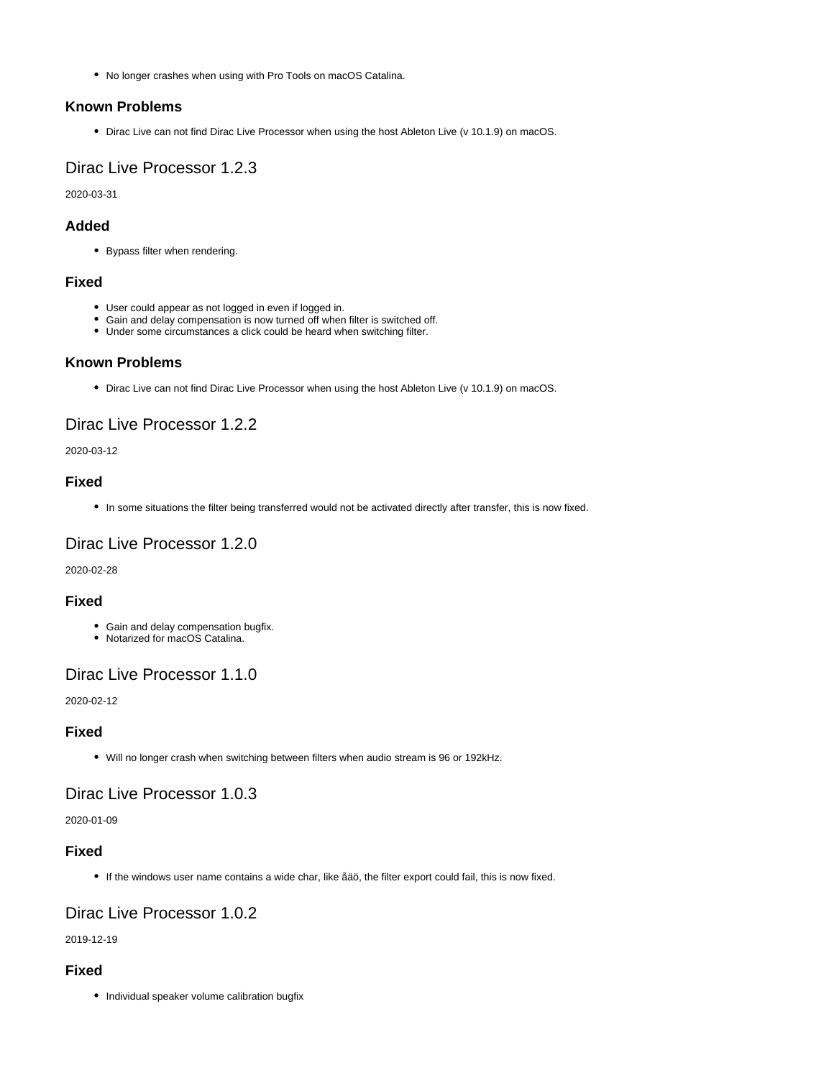No longer crashes when using with Pro Tools on macOS Catalina.

### **Known Problems**

• Dirac Live can not find Dirac Live Processor when using the host Ableton Live (v 10.1.9) on macOS.

## <span id="page-15-0"></span>Dirac Live Processor 1.2.3

2020-03-31

### **Added**

Bypass filter when rendering.

### **Fixed**

- User could appear as not logged in even if logged in.
- Gain and delay compensation is now turned off when filter is switched off.
- Under some circumstances a click could be heard when switching filter.

### **Known Problems**

• Dirac Live can not find Dirac Live Processor when using the host Ableton Live (v 10.1.9) on macOS.

## <span id="page-15-1"></span>Dirac Live Processor 1.2.2

### 2020-03-12

### **Fixed**

In some situations the filter being transferred would not be activated directly after transfer, this is now fixed.

## <span id="page-15-2"></span>Dirac Live Processor 1.2.0

2020-02-28

### **Fixed**

- Gain and delay compensation bugfix.
- Notarized for macOS Catalina.

## <span id="page-15-3"></span>Dirac Live Processor 1.1.0

2020-02-12

### **Fixed**

Will no longer crash when switching between filters when audio stream is 96 or 192kHz.

## <span id="page-15-4"></span>Dirac Live Processor 1.0.3

#### 2020-01-09

### **Fixed**

If the windows user name contains a wide char, like åäö, the filter export could fail, this is now fixed.

## <span id="page-15-5"></span>Dirac Live Processor 1.0.2

2019-12-19

### <span id="page-15-6"></span>**Fixed**

• Individual speaker volume calibration bugfix